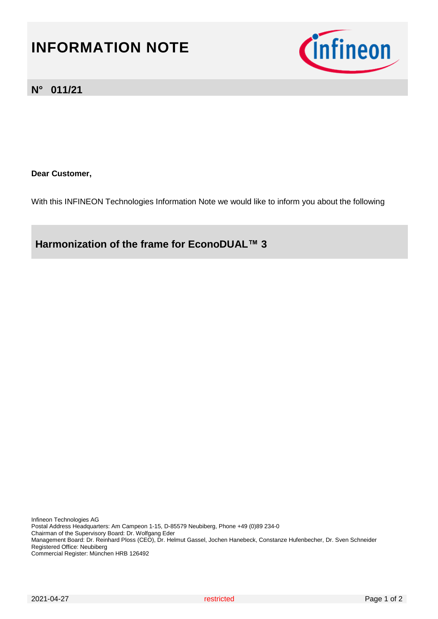# **INFORMATION NOTE**



#### **N° 011/21**

**Dear Customer,** 

With this INFINEON Technologies Information Note we would like to inform you about the following

**Harmonization of the frame for EconoDUAL™ 3** 

Infineon Technologies AG Postal Address Headquarters: Am Campeon 1-15, D-85579 Neubiberg, Phone +49 (0)89 234-0 Chairman of the Supervisory Board: Dr. Wolfgang Eder Management Board: Dr. Reinhard Ploss (CEO), Dr. Helmut Gassel, Jochen Hanebeck, Constanze Hufenbecher, Dr. Sven Schneider Registered Office: Neubiberg Commercial Register: München HRB 126492